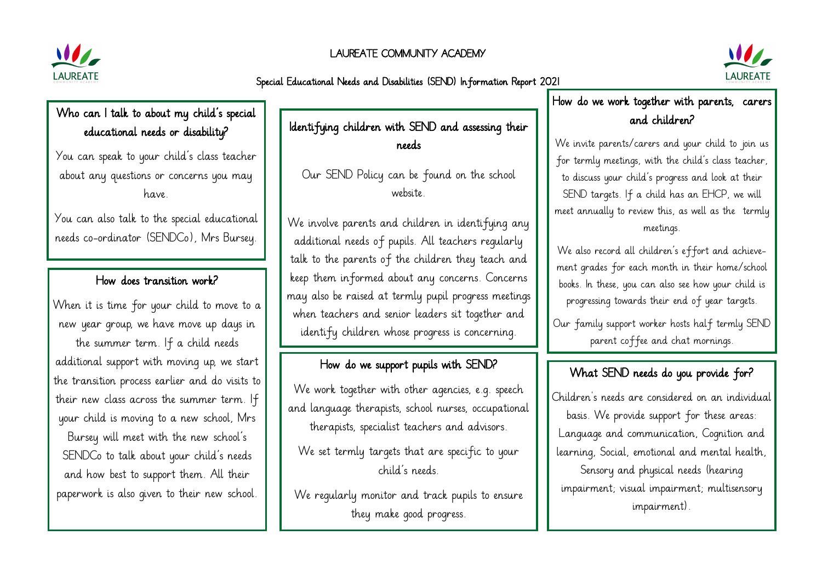#### LAUREATE COMMUNITY ACADEMY



Special Educational Needs and Disabilities (SEND) Information Report 2021



### Who can I talk to about my child's special educational needs or disability?

You can speak to your child's class teacher about any questions or concerns you may have.

You can also talk to the special educational needs co-ordinator (SENDCo), Mrs Bursey.

#### How does transition work?

When it is time for your child to move to a new year group, we have move up days in the summer term. If a child needs additional support with moving up, we start the transition process earlier and do visits to their new class across the summer term. If your child is moving to a new school, Mrs Bursey will meet with the new school's SENDCo to talk about your child's needs and how best to support them. All their paperwork is also given to their new school.

Identifying children with SEND and assessing their needs

Our SEND Policy can be found on the school website.

We involve parents and children in identifying any additional needs of pupils. All teachers regularly talk to the parents of the children they teach and keep them informed about any concerns. Concerns may also be raised at termly pupil progress meetings when teachers and senior leaders sit together and identify children whose progress is concerning.

### How do we support pupils with SEND?

We work together with other agencies, e.g. speech and language therapists, school nurses, occupational therapists, specialist teachers and advisors.

We set termly targets that are specific to your child's needs.

We regularly monitor and track pupils to ensure they make good progress.

How do we work together with parents, carers and children?

We invite parents/carers and your child to join us for termly meetings, with the child's class teacher, to discuss your child's progress and look at their SEND targets. If a child has an EHCP, we will meet annually to review this, as well as the termly meetings.

We also record all children's effort and achievement grades for each month in their home/school books. In these, you can also see how your child is progressing towards their end of year targets.

Our family support worker hosts half termly SEND parent coffee and chat mornings.

# What SEND needs do you provide for?

Children's needs are considered on an individual basis. We provide support for these areas: Language and communication, Cognition and learning, Social, emotional and mental health, Sensory and physical needs (hearing impairment; visual impairment; multisensory impairment).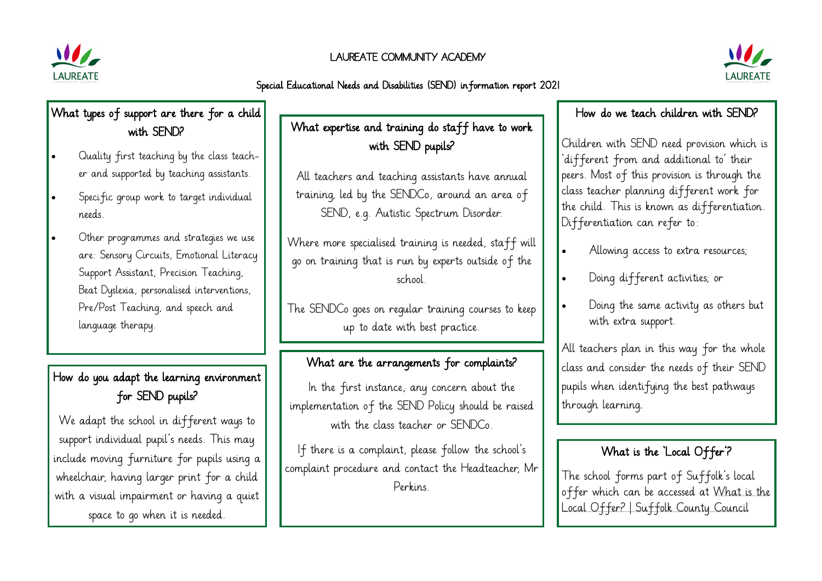

#### LAUREATE COMMUNITY ACADEMY





# What types of support are there for a child with SEND?

- Quality first teaching by the class teacher and supported by teaching assistants.
- Specific group work to target individual needs.
- Other programmes and strategies we use are: Sensory Circuits, Emotional Literacy Support Assistant, Precision Teaching, Beat Dyslexia, personalised interventions, Pre/Post Teaching, and speech and language therapy.

# How do you adapt the learning environment for SEND pupils?

We adapt the school in different ways to support individual pupil's needs. This may include moving furniture for pupils using a wheelchair, having larger print for a child with a visual impairment or having a quiet space to go when it is needed.

# What expertise and training do staff have to work with SEND pupils?

All teachers and teaching assistants have annual training, led by the SENDCo, around an area of SEND, e.g. Autistic Spectrum Disorder.

Where more specialised training is needed, staff will go on training that is run by experts outside of the school.

The SENDCo goes on regular training courses to keep up to date with best practice.

# What are the arrangements for complaints?

In the first instance, any concern about the implementation of the SEND Policy should be raised with the class teacher or SENDCo.

If there is a complaint, please follow the school's complaint procedure and contact the Headteacher, Mr Perkins.

#### How do we teach children with SEND?

Children with SEND need provision which is 'different from and additional to' their peers. Most of this provision is through the class teacher planning different work for the child. This is known as differentiation. Differentiation can refer to:

- Allowing access to extra resources;
- Doing different activities; or
- Doing the same activity as others but with extra support.

All teachers plan in this way for the whole class and consider the needs of their SEND pupils when identifying the best pathways through learning.

# What is the 'Local Offer'?

The school forms part of Suffolk's local offer which can be accessed at What is the Local Offer? | Suffolk County Council